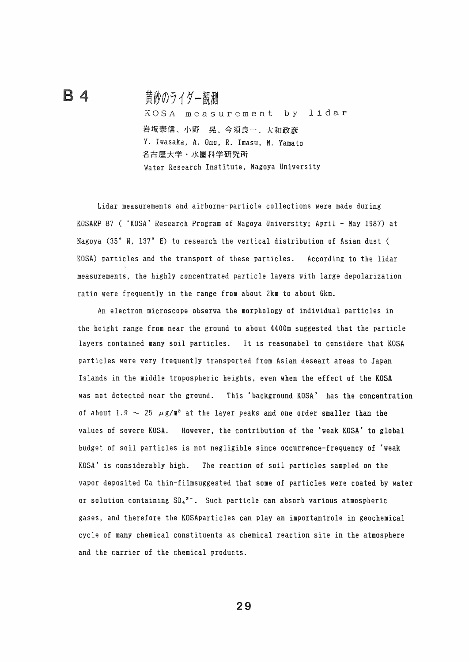## 黄砂のライダー観測

B 4

KOSA measurement by lidar 岩坂春信、小野 晃、今須良一、大和政彦 Y. Iwasaka, A. Ono, R. Imasu, M. Yamato 名古屋大学・水圏科学研究所 Water Research Institute, Nagoya University

Lidar measurements and airborne-particle collections were made during KOSARP 87 ( 'KOSA' Research Program of Nagoya University; April - May 1987) at Nagoya  $(35° N, 137° E)$  to research the vertical distribution of Asian dust ( KOSA) particles and the transport of these particles. According to the lidar measurements, the highly concentrated particle layers with large depolarization ratio were frequently in the range from about 2km to about 6km.

An electron microscope observa the morphology of individual particles in the height range from near the ground to about 4400m suggested that the particle layers contained many soil particles. It is reasonabel to considere that KOSA particles were very frequently transported from Asian deseart areas to Japan Islands in the middle tropospheric heights, even when the effect of the KOSA was not detected near the ground. This 'background KOSA' has the concentration of about 1.9  $\sim$  25  $\mu$ g/m<sup>3</sup> at the layer peaks and one order smaller than the values of severe KOSA. However, the contribution of the 'weak KOSA' to global budget of soil particles is not negligible since occurrence-frequency of 'weak KOSA' is considerably high. The reaction of soil particles sampled on the vapor deposited Ca thin-filmsuggested that some of particles were coated by water or solution containing  $\text{SO}_4{}^{2-}$ . Such particle can absorb various atmospheric gases, and therefore the KOSAparticles can play an importantrole in geochemical cycle of many chemical constituents as chemical reaction site in the atmosphere and the carrier of the chemical products.

29